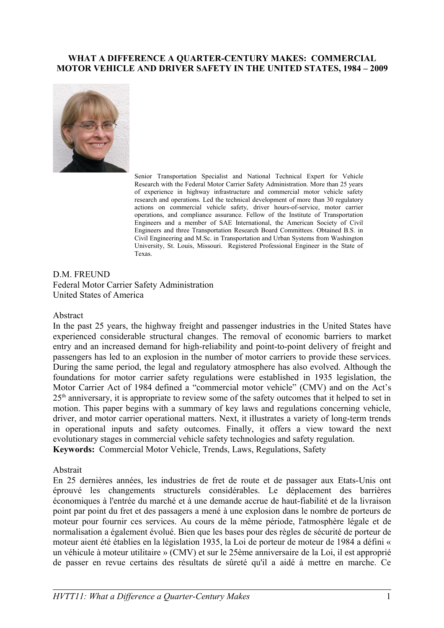#### **WHAT A DIFFERENCE A QUARTER-CENTURY MAKES: COMMERCIAL MOTOR VEHICLE AND DRIVER SAFETY IN THE UNITED STATES, 1984 – 2009**



Senior Transportation Specialist and National Technical Expert for Vehicle Research with the Federal Motor Carrier Safety Administration. More than 25 years of experience in highway infrastructure and commercial motor vehicle safety research and operations. Led the technical development of more than 30 regulatory actions on commercial vehicle safety, driver hours-of-service, motor carrier operations, and compliance assurance. Fellow of the Institute of Transportation Engineers and a member of SAE International, the American Society of Civil Engineers and three Transportation Research Board Committees. Obtained B.S. in Civil Engineering and M.Sc. in Transportation and Urban Systems from Washington University, St. Louis, Missouri. Registered Professional Engineer in the State of Texas.

D.M. FREUND. Federal Motor Carrier Safety Administration United States of America

#### Abstract

In the past 25 years, the highway freight and passenger industries in the United States have experienced considerable structural changes. The removal of economic barriers to market entry and an increased demand for high-reliability and point-to-point delivery of freight and passengers has led to an explosion in the number of motor carriers to provide these services. During the same period, the legal and regulatory atmosphere has also evolved. Although the foundations for motor carrier safety regulations were established in 1935 legislation, the Motor Carrier Act of 1984 defined a "commercial motor vehicle" (CMV) and on the Act's 25<sup>th</sup> anniversary, it is appropriate to review some of the safety outcomes that it helped to set in motion. This paper begins with a summary of key laws and regulations concerning vehicle, driver, and motor carrier operational matters. Next, it illustrates a variety of long-term trends in operational inputs and safety outcomes. Finally, it offers a view toward the next evolutionary stages in commercial vehicle safety technologies and safety regulation. **Keywords:** Commercial Motor Vehicle, Trends, Laws, Regulations, Safety

#### Abstrait

En 25 dernières années, les industries de fret de route et de passager aux Etats-Unis ont éprouvé les changements structurels considérables. Le déplacement des barrières économiques à l'entrée du marché et à une demande accrue de haut-fiabilité et de la livraison point par point du fret et des passagers a mené à une explosion dans le nombre de porteurs de moteur pour fournir ces services. Au cours de la même période, l'atmosphère légale et de normalisation a également évolué. Bien que les bases pour des règles de sécurité de porteur de moteur aient été établies en la législation 1935, la Loi de porteur de moteur de 1984 a défini « un véhicule à moteur utilitaire » (CMV) et sur le 25ème anniversaire de la Loi, il est approprié de passer en revue certains des résultats de sûreté qu'il a aidé à mettre en marche. Ce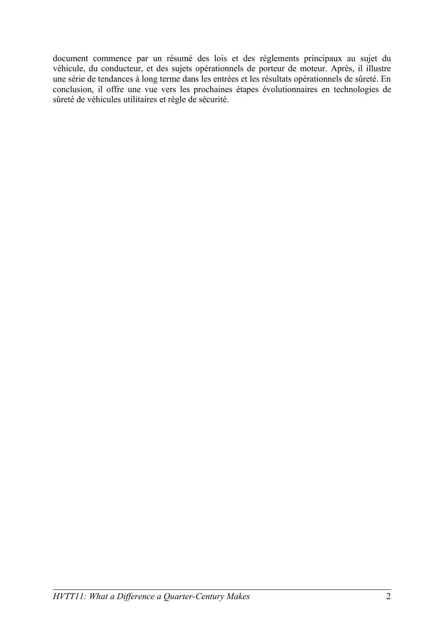document commence par un résumé des lois et des règlements principaux au sujet du véhicule, du conducteur, et des sujets opérationnels de porteur de moteur. Après, il illustre une série de tendances à long terme dans les entrées et les résultats opérationnels de sûreté. En conclusion, il offre une vue vers les prochaines étapes évolutionnaires en technologies de sûreté de véhicules utilitaires et règle de sécurité.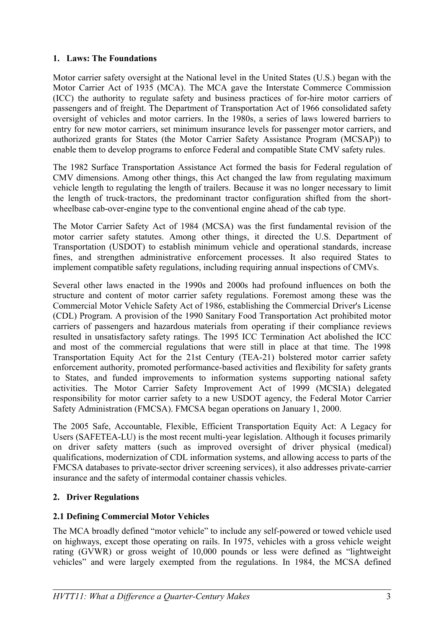#### **1. Laws: The Foundations**

Motor carrier safety oversight at the National level in the United States (U.S.) began with the Motor Carrier Act of 1935 (MCA). The MCA gave the Interstate Commerce Commission (ICC) the authority to regulate safety and business practices of for-hire motor carriers of passengers and of freight. The Department of Transportation Act of 1966 consolidated safety oversight of vehicles and motor carriers. In the 1980s, a series of laws lowered barriers to entry for new motor carriers, set minimum insurance levels for passenger motor carriers, and authorized grants for States (the Motor Carrier Safety Assistance Program (MCSAP)) to enable them to develop programs to enforce Federal and compatible State CMV safety rules.

The 1982 Surface Transportation Assistance Act formed the basis for Federal regulation of CMV dimensions. Among other things, this Act changed the law from regulating maximum vehicle length to regulating the length of trailers. Because it was no longer necessary to limit the length of truck-tractors, the predominant tractor configuration shifted from the shortwheelbase cab-over-engine type to the conventional engine ahead of the cab type.

The Motor Carrier Safety Act of 1984 (MCSA) was the first fundamental revision of the motor carrier safety statutes. Among other things, it directed the U.S. Department of Transportation (USDOT) to establish minimum vehicle and operational standards, increase fines, and strengthen administrative enforcement processes. It also required States to implement compatible safety regulations, including requiring annual inspections of CMVs.

Several other laws enacted in the 1990s and 2000s had profound influences on both the structure and content of motor carrier safety regulations. Foremost among these was the Commercial Motor Vehicle Safety Act of 1986, establishing the Commercial Driver's License (CDL) Program. A provision of the 1990 Sanitary Food Transportation Act prohibited motor carriers of passengers and hazardous materials from operating if their compliance reviews resulted in unsatisfactory safety ratings. The 1995 ICC Termination Act abolished the ICC and most of the commercial regulations that were still in place at that time. The 1998 Transportation Equity Act for the 21st Century (TEA-21) bolstered motor carrier safety enforcement authority, promoted performance-based activities and flexibility for safety grants to States, and funded improvements to information systems supporting national safety activities. The Motor Carrier Safety Improvement Act of 1999 (MCSIA) delegated responsibility for motor carrier safety to a new USDOT agency, the Federal Motor Carrier Safety Administration (FMCSA). FMCSA began operations on January 1, 2000.

The 2005 Safe, Accountable, Flexible, Efficient Transportation Equity Act: A Legacy for Users (SAFETEA-LU) is the most recent multi-year legislation. Although it focuses primarily on driver safety matters (such as improved oversight of driver physical (medical) qualifications, modernization of CDL information systems, and allowing access to parts of the FMCSA databases to private-sector driver screening services), it also addresses private-carrier insurance and the safety of intermodal container chassis vehicles.

## **2. Driver Regulations**

## **2.1 Defining Commercial Motor Vehicles**

The MCA broadly defined "motor vehicle" to include any self-powered or towed vehicle used on highways, except those operating on rails. In 1975, vehicles with a gross vehicle weight rating (GVWR) or gross weight of 10,000 pounds or less were defined as "lightweight vehicles" and were largely exempted from the regulations. In 1984, the MCSA defined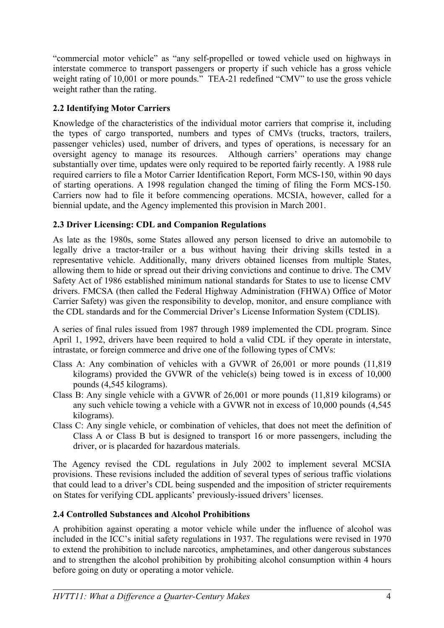"commercial motor vehicle" as "any self-propelled or towed vehicle used on highways in interstate commerce to transport passengers or property if such vehicle has a gross vehicle weight rating of 10,001 or more pounds." TEA-21 redefined "CMV" to use the gross vehicle weight rather than the rating.

# **2.2 Identifying Motor Carriers**

Knowledge of the characteristics of the individual motor carriers that comprise it, including the types of cargo transported, numbers and types of CMVs (trucks, tractors, trailers, passenger vehicles) used, number of drivers, and types of operations, is necessary for an oversight agency to manage its resources. Although carriers' operations may change substantially over time, updates were only required to be reported fairly recently. A 1988 rule required carriers to file a Motor Carrier Identification Report, Form MCS-150, within 90 days of starting operations. A 1998 regulation changed the timing of filing the Form MCS-150. Carriers now had to file it before commencing operations. MCSIA, however, called for a biennial update, and the Agency implemented this provision in March 2001.

# **2.3 Driver Licensing: CDL and Companion Regulations**

As late as the 1980s, some States allowed any person licensed to drive an automobile to legally drive a tractor-trailer or a bus without having their driving skills tested in a representative vehicle. Additionally, many drivers obtained licenses from multiple States, allowing them to hide or spread out their driving convictions and continue to drive. The CMV Safety Act of 1986 established minimum national standards for States to use to license CMV drivers. FMCSA (then called the Federal Highway Administration (FHWA) Office of Motor Carrier Safety) was given the responsibility to develop, monitor, and ensure compliance with the CDL standards and for the Commercial Driver's License Information System (CDLIS).

A series of final rules issued from 1987 through 1989 implemented the CDL program. Since April 1, 1992, drivers have been required to hold a valid CDL if they operate in interstate, intrastate, or foreign commerce and drive one of the following types of CMVs:

- Class A: Any combination of vehicles with a GVWR of 26,001 or more pounds (11,819 kilograms) provided the GVWR of the vehicle(s) being towed is in excess of 10,000 pounds (4,545 kilograms).
- Class B: Any single vehicle with a GVWR of 26,001 or more pounds (11,819 kilograms) or any such vehicle towing a vehicle with a GVWR not in excess of 10,000 pounds (4,545 kilograms).
- Class C: Any single vehicle, or combination of vehicles, that does not meet the definition of Class A or Class B but is designed to transport 16 or more passengers, including the driver, or is placarded for hazardous materials.

The Agency revised the CDL regulations in July 2002 to implement several MCSIA provisions. These revisions included the addition of several types of serious traffic violations that could lead to a driver's CDL being suspended and the imposition of stricter requirements on States for verifying CDL applicants' previously-issued drivers' licenses.

# **2.4 Controlled Substances and Alcohol Prohibitions**

A prohibition against operating a motor vehicle while under the influence of alcohol was included in the ICC's initial safety regulations in 1937. The regulations were revised in 1970 to extend the prohibition to include narcotics, amphetamines, and other dangerous substances and to strengthen the alcohol prohibition by prohibiting alcohol consumption within 4 hours before going on duty or operating a motor vehicle.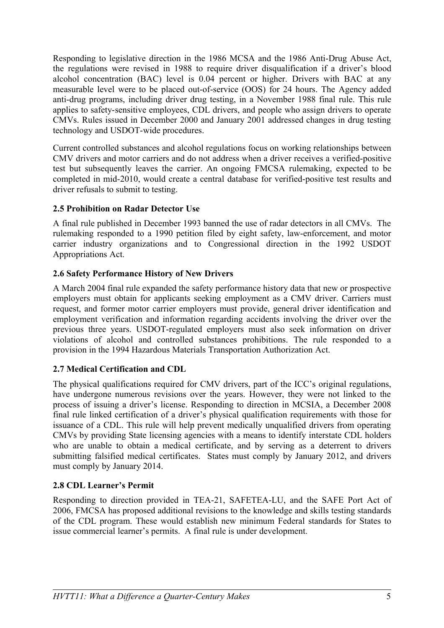Responding to legislative direction in the 1986 MCSA and the 1986 Anti-Drug Abuse Act, the regulations were revised in 1988 to require driver disqualification if a driver's blood alcohol concentration (BAC) level is 0.04 percent or higher. Drivers with BAC at any measurable level were to be placed out-of-service (OOS) for 24 hours. The Agency added anti-drug programs, including driver drug testing, in a November 1988 final rule. This rule applies to safety-sensitive employees, CDL drivers, and people who assign drivers to operate CMVs. Rules issued in December 2000 and January 2001 addressed changes in drug testing technology and USDOT-wide procedures.

Current controlled substances and alcohol regulations focus on working relationships between CMV drivers and motor carriers and do not address when a driver receives a verified-positive test but subsequently leaves the carrier. An ongoing FMCSA rulemaking, expected to be completed in mid-2010, would create a central database for verified-positive test results and driver refusals to submit to testing.

## **2.5 Prohibition on Radar Detector Use**

A final rule published in December 1993 banned the use of radar detectors in all CMVs. The rulemaking responded to a 1990 petition filed by eight safety, law-enforcement, and motor carrier industry organizations and to Congressional direction in the 1992 USDOT Appropriations Act.

# **2.6 Safety Performance History of New Drivers**

A March 2004 final rule expanded the safety performance history data that new or prospective employers must obtain for applicants seeking employment as a CMV driver. Carriers must request, and former motor carrier employers must provide, general driver identification and employment verification and information regarding accidents involving the driver over the previous three years. USDOT-regulated employers must also seek information on driver violations of alcohol and controlled substances prohibitions. The rule responded to a provision in the 1994 Hazardous Materials Transportation Authorization Act.

# **2.7 Medical Certification and CDL**

The physical qualifications required for CMV drivers, part of the ICC's original regulations, have undergone numerous revisions over the years. However, they were not linked to the process of issuing a driver's license. Responding to direction in MCSIA, a December 2008 final rule linked certification of a driver's physical qualification requirements with those for issuance of a CDL. This rule will help prevent medically unqualified drivers from operating CMVs by providing State licensing agencies with a means to identify interstate CDL holders who are unable to obtain a medical certificate, and by serving as a deterrent to drivers submitting falsified medical certificates. States must comply by January 2012, and drivers must comply by January 2014.

## **2.8 CDL Learner's Permit**

Responding to direction provided in TEA-21, SAFETEA-LU, and the SAFE Port Act of 2006, FMCSA has proposed additional revisions to the knowledge and skills testing standards of the CDL program. These would establish new minimum Federal standards for States to issue commercial learner's permits. A final rule is under development.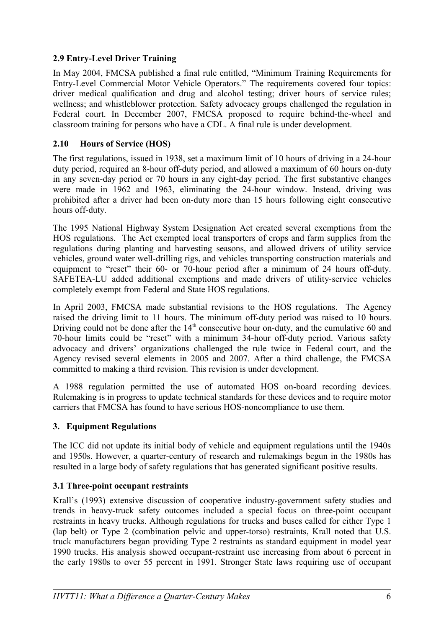## **2.9 Entry-Level Driver Training**

In May 2004, FMCSA published a final rule entitled, "Minimum Training Requirements for Entry-Level Commercial Motor Vehicle Operators." The requirements covered four topics: driver medical qualification and drug and alcohol testing; driver hours of service rules; wellness; and whistleblower protection. Safety advocacy groups challenged the regulation in Federal court. In December 2007, FMCSA proposed to require behind-the-wheel and classroom training for persons who have a CDL. A final rule is under development.

## **2.10 Hours of Service (HOS)**

The first regulations, issued in 1938, set a maximum limit of 10 hours of driving in a 24-hour duty period, required an 8-hour off-duty period, and allowed a maximum of 60 hours on-duty in any seven-day period or 70 hours in any eight-day period. The first substantive changes were made in 1962 and 1963, eliminating the 24-hour window. Instead, driving was prohibited after a driver had been on-duty more than 15 hours following eight consecutive hours off-duty.

The 1995 National Highway System Designation Act created several exemptions from the HOS regulations. The Act exempted local transporters of crops and farm supplies from the regulations during planting and harvesting seasons, and allowed drivers of utility service vehicles, ground water well-drilling rigs, and vehicles transporting construction materials and equipment to "reset" their 60- or 70-hour period after a minimum of 24 hours off-duty. SAFETEA-LU added additional exemptions and made drivers of utility-service vehicles completely exempt from Federal and State HOS regulations.

In April 2003, FMCSA made substantial revisions to the HOS regulations. The Agency raised the driving limit to 11 hours. The minimum off-duty period was raised to 10 hours. Driving could not be done after the  $14<sup>th</sup>$  consecutive hour on-duty, and the cumulative 60 and 70-hour limits could be "reset" with a minimum 34-hour off-duty period. Various safety advocacy and drivers' organizations challenged the rule twice in Federal court, and the Agency revised several elements in 2005 and 2007. After a third challenge, the FMCSA committed to making a third revision. This revision is under development.

A 1988 regulation permitted the use of automated HOS on-board recording devices. Rulemaking is in progress to update technical standards for these devices and to require motor carriers that FMCSA has found to have serious HOS-noncompliance to use them.

## **3. Equipment Regulations**

The ICC did not update its initial body of vehicle and equipment regulations until the 1940s and 1950s. However, a quarter-century of research and rulemakings begun in the 1980s has resulted in a large body of safety regulations that has generated significant positive results.

# **3.1 Three-point occupant restraints**

Krall's (1993) extensive discussion of cooperative industry-government safety studies and trends in heavy-truck safety outcomes included a special focus on three-point occupant restraints in heavy trucks. Although regulations for trucks and buses called for either Type 1 (lap belt) or Type 2 (combination pelvic and upper-torso) restraints, Krall noted that U.S. truck manufacturers began providing Type 2 restraints as standard equipment in model year 1990 trucks. His analysis showed occupant-restraint use increasing from about 6 percent in the early 1980s to over 55 percent in 1991. Stronger State laws requiring use of occupant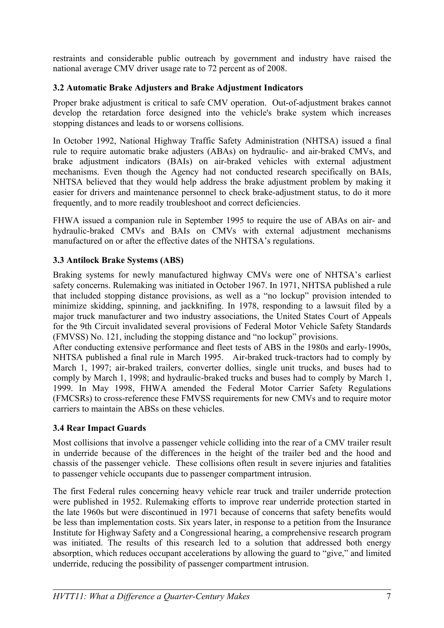restraints and considerable public outreach by government and industry have raised the national average CMV driver usage rate to 72 percent as of 2008.

## **3.2 Automatic Brake Adjusters and Brake Adjustment Indicators**

Proper brake adjustment is critical to safe CMV operation. Out-of-adjustment brakes cannot develop the retardation force designed into the vehicle's brake system which increases stopping distances and leads to or worsens collisions.

In October 1992, National Highway Traffic Safety Administration (NHTSA) issued a final rule to require automatic brake adjusters (ABAs) on hydraulic- and air-braked CMVs, and brake adjustment indicators (BAIs) on air-braked vehicles with external adjustment mechanisms. Even though the Agency had not conducted research specifically on BAIs, NHTSA believed that they would help address the brake adjustment problem by making it easier for drivers and maintenance personnel to check brake-adjustment status, to do it more frequently, and to more readily troubleshoot and correct deficiencies.

FHWA issued a companion rule in September 1995 to require the use of ABAs on air- and hydraulic-braked CMVs and BAIs on CMVs with external adjustment mechanisms manufactured on or after the effective dates of the NHTSA's regulations.

## **3.3 Antilock Brake Systems (ABS)**

Braking systems for newly manufactured highway CMVs were one of NHTSA's earliest safety concerns. Rulemaking was initiated in October 1967. In 1971, NHTSA published a rule that included stopping distance provisions, as well as a "no lockup" provision intended to minimize skidding, spinning, and jackknifing. In 1978, responding to a lawsuit filed by a major truck manufacturer and two industry associations, the United States Court of Appeals for the 9th Circuit invalidated several provisions of Federal Motor Vehicle Safety Standards (FMVSS) No. 121, including the stopping distance and "no lockup" provisions.

After conducting extensive performance and fleet tests of ABS in the 1980s and early-1990s, NHTSA published a final rule in March 1995. Air-braked truck-tractors had to comply by March 1, 1997; air-braked trailers, converter dollies, single unit trucks, and buses had to comply by March 1, 1998; and hydraulic-braked trucks and buses had to comply by March 1, 1999. In May 1998, FHWA amended the Federal Motor Carrier Safety Regulations (FMCSRs) to cross-reference these FMVSS requirements for new CMVs and to require motor carriers to maintain the ABSs on these vehicles.

## **3.4 Rear Impact Guards**

Most collisions that involve a passenger vehicle colliding into the rear of a CMV trailer result in underride because of the differences in the height of the trailer bed and the hood and chassis of the passenger vehicle. These collisions often result in severe injuries and fatalities to passenger vehicle occupants due to passenger compartment intrusion.

The first Federal rules concerning heavy vehicle rear truck and trailer underride protection were published in 1952. Rulemaking efforts to improve rear underride protection started in the late 1960s but were discontinued in 1971 because of concerns that safety benefits would be less than implementation costs. Six years later, in response to a petition from the Insurance Institute for Highway Safety and a Congressional hearing, a comprehensive research program was initiated. The results of this research led to a solution that addressed both energy absorption, which reduces occupant accelerations by allowing the guard to "give," and limited underride, reducing the possibility of passenger compartment intrusion.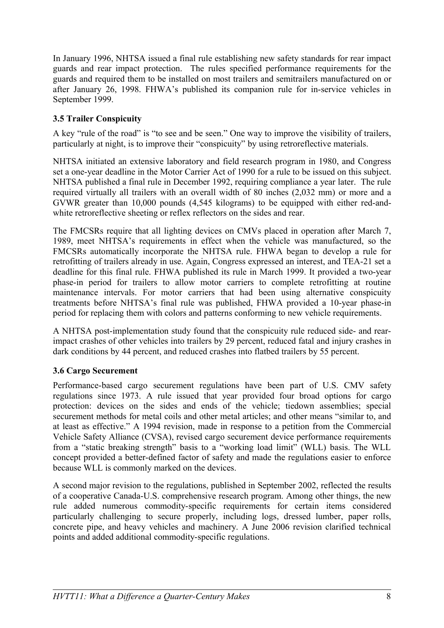In January 1996, NHTSA issued a final rule establishing new safety standards for rear impact guards and rear impact protection. The rules specified performance requirements for the guards and required them to be installed on most trailers and semitrailers manufactured on or after January 26, 1998. FHWA's published its companion rule for in-service vehicles in September 1999.

## **3.5 Trailer Conspicuity**

A key "rule of the road" is "to see and be seen." One way to improve the visibility of trailers, particularly at night, is to improve their "conspicuity" by using retroreflective materials.

NHTSA initiated an extensive laboratory and field research program in 1980, and Congress set a one-year deadline in the Motor Carrier Act of 1990 for a rule to be issued on this subject. NHTSA published a final rule in December 1992, requiring compliance a year later. The rule required virtually all trailers with an overall width of 80 inches (2,032 mm) or more and a GVWR greater than 10,000 pounds (4,545 kilograms) to be equipped with either red-andwhite retroreflective sheeting or reflex reflectors on the sides and rear.

The FMCSRs require that all lighting devices on CMVs placed in operation after March 7, 1989, meet NHTSA's requirements in effect when the vehicle was manufactured, so the FMCSRs automatically incorporate the NHTSA rule. FHWA began to develop a rule for retrofitting of trailers already in use. Again, Congress expressed an interest, and TEA-21 set a deadline for this final rule. FHWA published its rule in March 1999. It provided a two-year phase-in period for trailers to allow motor carriers to complete retrofitting at routine maintenance intervals. For motor carriers that had been using alternative conspicuity treatments before NHTSA's final rule was published, FHWA provided a 10-year phase-in period for replacing them with colors and patterns conforming to new vehicle requirements.

A NHTSA post-implementation study found that the conspicuity rule reduced side- and rearimpact crashes of other vehicles into trailers by 29 percent, reduced fatal and injury crashes in dark conditions by 44 percent, and reduced crashes into flatbed trailers by 55 percent.

## **3.6 Cargo Securement**

Performance-based cargo securement regulations have been part of U.S. CMV safety regulations since 1973. A rule issued that year provided four broad options for cargo protection: devices on the sides and ends of the vehicle; tiedown assemblies; special securement methods for metal coils and other metal articles; and other means "similar to, and at least as effective." A 1994 revision, made in response to a petition from the Commercial Vehicle Safety Alliance (CVSA), revised cargo securement device performance requirements from a "static breaking strength" basis to a "working load limit" (WLL) basis. The WLL concept provided a better-defined factor of safety and made the regulations easier to enforce because WLL is commonly marked on the devices.

A second major revision to the regulations, published in September 2002, reflected the results of a cooperative Canada-U.S. comprehensive research program. Among other things, the new rule added numerous commodity-specific requirements for certain items considered particularly challenging to secure properly, including logs, dressed lumber, paper rolls, concrete pipe, and heavy vehicles and machinery. A June 2006 revision clarified technical points and added additional commodity-specific regulations.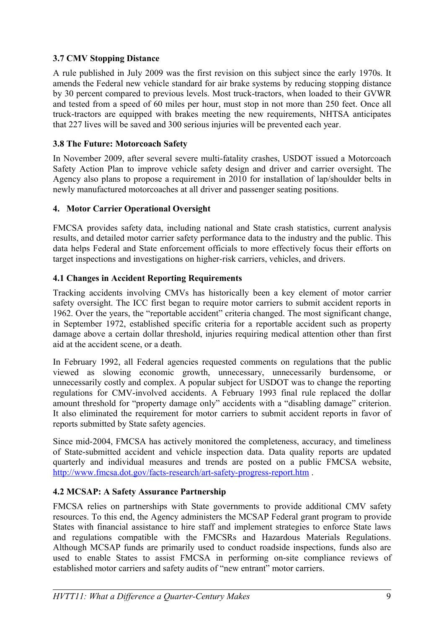## **3.7 CMV Stopping Distance**

A rule published in July 2009 was the first revision on this subject since the early 1970s. It amends the Federal new vehicle standard for air brake systems by reducing stopping distance by 30 percent compared to previous levels. Most truck-tractors, when loaded to their GVWR and tested from a speed of 60 miles per hour, must stop in not more than 250 feet. Once all truck-tractors are equipped with brakes meeting the new requirements, NHTSA anticipates that 227 lives will be saved and 300 serious injuries will be prevented each year.

## **3.8 The Future: Motorcoach Safety**

In November 2009, after several severe multi-fatality crashes, USDOT issued a Motorcoach Safety Action Plan to improve vehicle safety design and driver and carrier oversight. The Agency also plans to propose a requirement in 2010 for installation of lap/shoulder belts in newly manufactured motorcoaches at all driver and passenger seating positions.

## **4. Motor Carrier Operational Oversight**

FMCSA provides safety data, including national and State crash statistics, current analysis results, and detailed motor carrier safety performance data to the industry and the public. This data helps Federal and State enforcement officials to more effectively focus their efforts on target inspections and investigations on higher-risk carriers, vehicles, and drivers.

## **4.1 Changes in Accident Reporting Requirements**

Tracking accidents involving CMVs has historically been a key element of motor carrier safety oversight. The ICC first began to require motor carriers to submit accident reports in 1962. Over the years, the "reportable accident" criteria changed. The most significant change, in September 1972, established specific criteria for a reportable accident such as property damage above a certain dollar threshold, injuries requiring medical attention other than first aid at the accident scene, or a death.

In February 1992, all Federal agencies requested comments on regulations that the public viewed as slowing economic growth, unnecessary, unnecessarily burdensome, or unnecessarily costly and complex. A popular subject for USDOT was to change the reporting regulations for CMV-involved accidents. A February 1993 final rule replaced the dollar amount threshold for "property damage only" accidents with a "disabling damage" criterion. It also eliminated the requirement for motor carriers to submit accident reports in favor of reports submitted by State safety agencies.

Since mid-2004, FMCSA has actively monitored the completeness, accuracy, and timeliness of State-submitted accident and vehicle inspection data. Data quality reports are updated quarterly and individual measures and trends are posted on a public FMCSA website, <http://www.fmcsa.dot.gov/facts-research/art-safety-progress-report.htm>.

# **4.2 MCSAP: A Safety Assurance Partnership**

FMCSA relies on partnerships with State governments to provide additional CMV safety resources. To this end, the Agency administers the MCSAP Federal grant program to provide States with financial assistance to hire staff and implement strategies to enforce State laws and regulations compatible with the FMCSRs and Hazardous Materials Regulations. Although MCSAP funds are primarily used to conduct roadside inspections, funds also are used to enable States to assist FMCSA in performing on-site compliance reviews of established motor carriers and safety audits of "new entrant" motor carriers.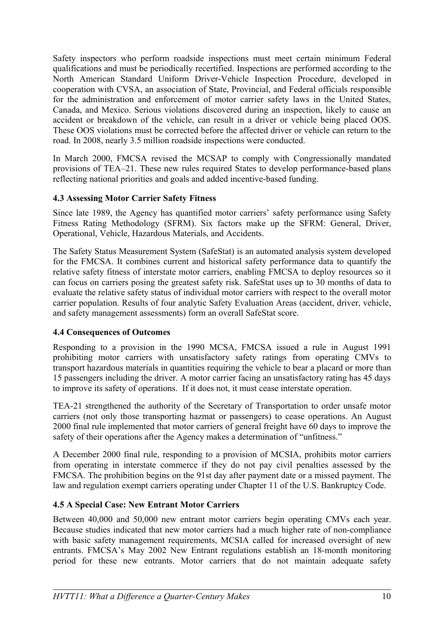Safety inspectors who perform roadside inspections must meet certain minimum Federal qualifications and must be periodically recertified. Inspections are performed according to the North American Standard Uniform Driver-Vehicle Inspection Procedure, developed in cooperation with CVSA, an association of State, Provincial, and Federal officials responsible for the administration and enforcement of motor carrier safety laws in the United States, Canada, and Mexico. Serious violations discovered during an inspection, likely to cause an accident or breakdown of the vehicle, can result in a driver or vehicle being placed OOS. These OOS violations must be corrected before the affected driver or vehicle can return to the road. In 2008, nearly 3.5 million roadside inspections were conducted.

In March 2000, FMCSA revised the MCSAP to comply with Congressionally mandated provisions of TEA–21. These new rules required States to develop performance-based plans reflecting national priorities and goals and added incentive-based funding.

## **4.3 Assessing Motor Carrier Safety Fitness**

Since late 1989, the Agency has quantified motor carriers' safety performance using Safety Fitness Rating Methodology (SFRM). Six factors make up the SFRM: General, Driver, Operational, Vehicle, Hazardous Materials, and Accidents.

The Safety Status Measurement System (SafeStat) is an automated analysis system developed for the FMCSA. It combines current and historical safety performance data to quantify the relative safety fitness of interstate motor carriers, enabling FMCSA to deploy resources so it can focus on carriers posing the greatest safety risk. SafeStat uses up to 30 months of data to evaluate the relative safety status of individual motor carriers with respect to the overall motor carrier population. Results of four analytic Safety Evaluation Areas (accident, driver, vehicle, and safety management assessments) form an overall SafeStat score.

#### **4.4 Consequences of Outcomes**

Responding to a provision in the 1990 MCSA, FMCSA issued a rule in August 1991 prohibiting motor carriers with unsatisfactory safety ratings from operating CMVs to transport hazardous materials in quantities requiring the vehicle to bear a placard or more than 15 passengers including the driver. A motor carrier facing an unsatisfactory rating has 45 days to improve its safety of operations. If it does not, it must cease interstate operation.

TEA-21 strengthened the authority of the Secretary of Transportation to order unsafe motor carriers (not only those transporting hazmat or passengers) to cease operations. An August 2000 final rule implemented that motor carriers of general freight have 60 days to improve the safety of their operations after the Agency makes a determination of "unfitness."

A December 2000 final rule, responding to a provision of MCSIA, prohibits motor carriers from operating in interstate commerce if they do not pay civil penalties assessed by the FMCSA. The prohibition begins on the 91st day after payment date or a missed payment. The law and regulation exempt carriers operating under Chapter 11 of the U.S. Bankruptcy Code.

## **4.5 A Special Case: New Entrant Motor Carriers**

Between 40,000 and 50,000 new entrant motor carriers begin operating CMVs each year. Because studies indicated that new motor carriers had a much higher rate of non-compliance with basic safety management requirements, MCSIA called for increased oversight of new entrants. FMCSA's May 2002 New Entrant regulations establish an 18-month monitoring period for these new entrants. Motor carriers that do not maintain adequate safety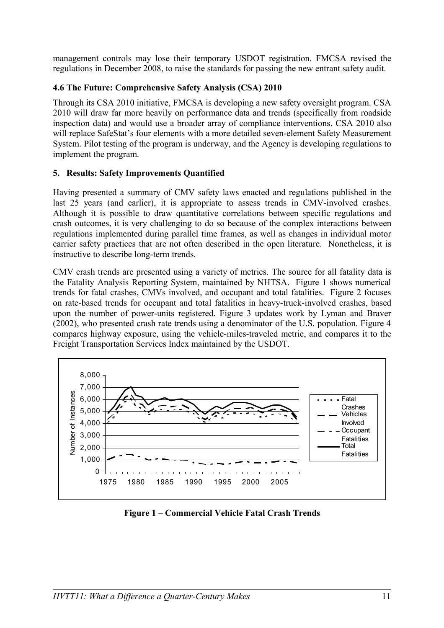management controls may lose their temporary USDOT registration. FMCSA revised the regulations in December 2008, to raise the standards for passing the new entrant safety audit.

## **4.6 The Future: Comprehensive Safety Analysis (CSA) 2010**

Through its CSA 2010 initiative, FMCSA is developing a new safety oversight program. CSA 2010 will draw far more heavily on performance data and trends (specifically from roadside inspection data) and would use a broader array of compliance interventions. CSA 2010 also will replace SafeStat's four elements with a more detailed seven-element Safety Measurement System. Pilot testing of the program is underway, and the Agency is developing regulations to implement the program.

#### **5. Results: Safety Improvements Quantified**

Having presented a summary of CMV safety laws enacted and regulations published in the last 25 years (and earlier), it is appropriate to assess trends in CMV-involved crashes. Although it is possible to draw quantitative correlations between specific regulations and crash outcomes, it is very challenging to do so because of the complex interactions between regulations implemented during parallel time frames, as well as changes in individual motor carrier safety practices that are not often described in the open literature. Nonetheless, it is instructive to describe long-term trends.

CMV crash trends are presented using a variety of metrics. The source for all fatality data is the Fatality Analysis Reporting System, maintained by NHTSA. Figure 1 shows numerical trends for fatal crashes, CMVs involved, and occupant and total fatalities. Figure 2 focuses on rate-based trends for occupant and total fatalities in heavy-truck-involved crashes, based upon the number of power-units registered. Figure 3 updates work by Lyman and Braver (2002), who presented crash rate trends using a denominator of the U.S. population. Figure 4 compares highway exposure, using the vehicle-miles-traveled metric, and compares it to the Freight Transportation Services Index maintained by the USDOT.



**Figure 1 – Commercial Vehicle Fatal Crash Trends**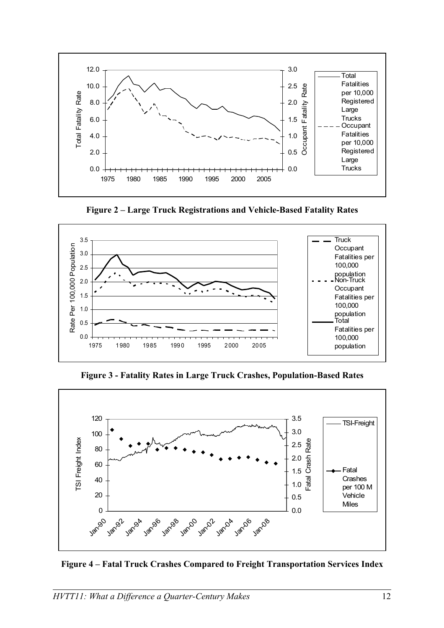

**Figure 2 – Large Truck Registrations and Vehicle-Based Fatality Rates**



**Figure 3 - Fatality Rates in Large Truck Crashes, Population-Based Rates**